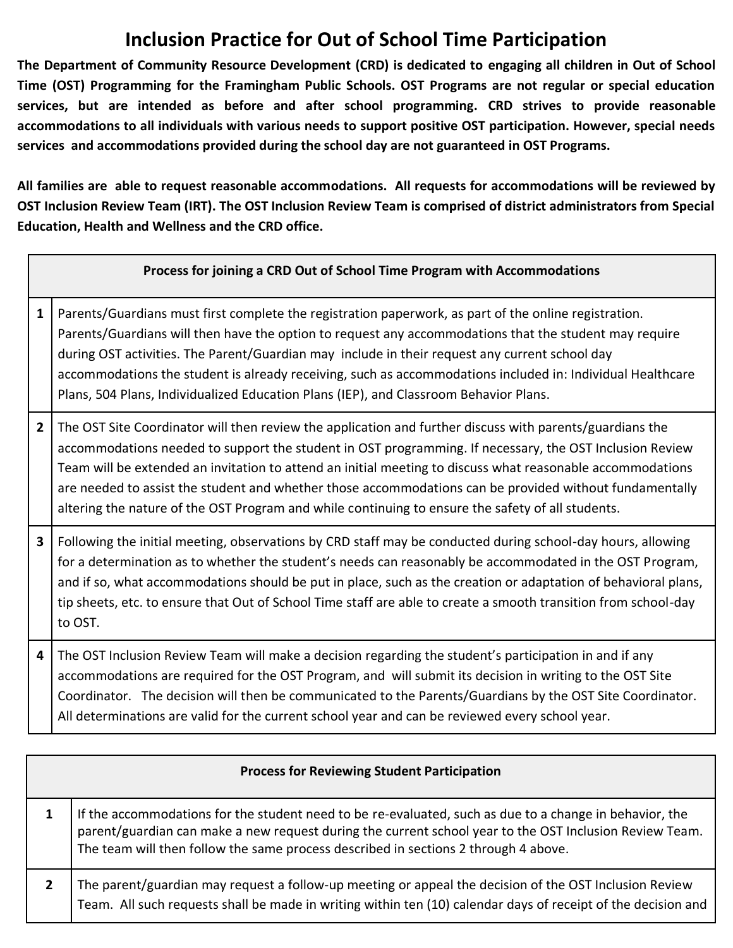## **Inclusion Practice for Out of School Time Participation**

**The Department of Community Resource Development (CRD) is dedicated to engaging all children in Out of School Time (OST) Programming for the Framingham Public Schools. OST Programs are not regular or special education services, but are intended as before and after school programming. CRD strives to provide reasonable accommodations to all individuals with various needs to support positive OST participation. However, special needs services and accommodations provided during the school day are not guaranteed in OST Programs.** 

**All families are able to request reasonable accommodations. All requests for accommodations will be reviewed by OST Inclusion Review Team (IRT). The OST Inclusion Review Team is comprised of district administrators from Special Education, Health and Wellness and the CRD office.** 

## **Process for joining a CRD Out of School Time Program with Accommodations**

- **1** Parents/Guardians must first complete the registration paperwork, as part of the online registration. Parents/Guardians will then have the option to request any accommodations that the student may require during OST activities. The Parent/Guardian may include in their request any current school day accommodations the student is already receiving, such as accommodations included in: Individual Healthcare Plans, 504 Plans, Individualized Education Plans (IEP), and Classroom Behavior Plans.
- **2** The OST Site Coordinator will then review the application and further discuss with parents/guardians the accommodations needed to support the student in OST programming. If necessary, the OST Inclusion Review Team will be extended an invitation to attend an initial meeting to discuss what reasonable accommodations are needed to assist the student and whether those accommodations can be provided without fundamentally altering the nature of the OST Program and while continuing to ensure the safety of all students.
- **3** | Following the initial meeting, observations by CRD staff may be conducted during school-day hours, allowing for a determination as to whether the student's needs can reasonably be accommodated in the OST Program, and if so, what accommodations should be put in place, such as the creation or adaptation of behavioral plans, tip sheets, etc. to ensure that Out of School Time staff are able to create a smooth transition from school-day to OST.

**4** The OST Inclusion Review Team will make a decision regarding the student's participation in and if any accommodations are required for the OST Program, and will submit its decision in writing to the OST Site Coordinator. The decision will then be communicated to the Parents/Guardians by the OST Site Coordinator. All determinations are valid for the current school year and can be reviewed every school year.

| <b>Process for Reviewing Student Participation</b> |                                                                                                                                                                                                                                                                                                           |
|----------------------------------------------------|-----------------------------------------------------------------------------------------------------------------------------------------------------------------------------------------------------------------------------------------------------------------------------------------------------------|
|                                                    | If the accommodations for the student need to be re-evaluated, such as due to a change in behavior, the<br>parent/guardian can make a new request during the current school year to the OST Inclusion Review Team.<br>The team will then follow the same process described in sections 2 through 4 above. |
|                                                    | The parent/guardian may request a follow-up meeting or appeal the decision of the OST Inclusion Review<br>Team. All such requests shall be made in writing within ten (10) calendar days of receipt of the decision and                                                                                   |